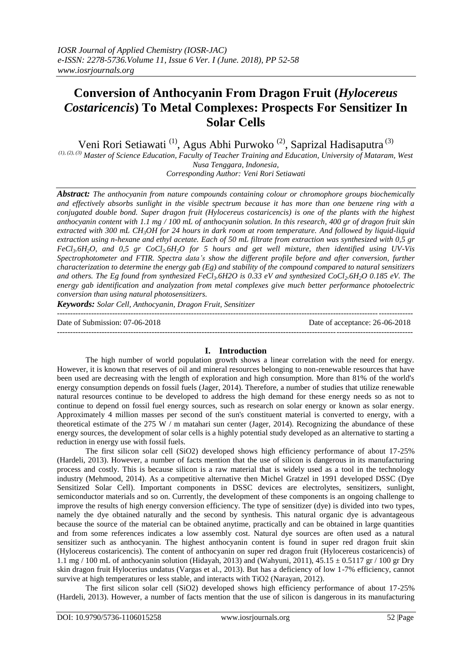## **Conversion of Anthocyanin From Dragon Fruit (***Hylocereus Costaricencis***) To Metal Complexes: Prospects For Sensitizer In Solar Cells**

Veni Rori Setiawati<sup>(1)</sup>, Agus Abhi Purwoko<sup>(2)</sup>, Saprizal Hadisaputra<sup>(3)</sup>

*(1), (2), (3) Master of Science Education, Faculty of Teacher Training and Education, University of Mataram, West Nusa Tenggara, Indonesia,*

*Corresponding Author: Veni Rori Setiawati* 

*Abstract: The anthocyanin from nature compounds containing colour or chromophore groups biochemically and effectively absorbs sunlight in the visible spectrum because it has more than one benzene ring with a conjugated double bond. Super dragon fruit (Hylocereus costaricencis) is one of the plants with the highest anthocyanin content with 1.1 mg / 100 mL of anthocyanin solution. In this research, 400 gr of dragon fruit skin extracted with 300 mL CH3OH for 24 hours in dark room at room temperature. And followed by liquid-liquid extraction using n-hexane and ethyl acetate. Each of 50 mL filtrate from extraction was synthesized with 0,5 gr FeCl3.6H2O, and 0,5 gr CoCl2.6H2O for 5 hours and get well mixture, then identified using UV-Vis Spectrophotometer and FTIR. Spectra data's show the different profile before and after conversion, further characterization to determine the energy gab (Eg) and stability of the compound compared to natural sensitizers and others. The Eg found from synthesized FeCl3.6H2O is 0.33 eV and synthesized CoCl2.6H2O 0.185 eV. The energy gab identification and analyzation from metal complexes give much better performance photoelectric conversion than using natural photosensitizers.*

*Keywords: Solar Cell, Anthocyanin, Dragon Fruit, Sensitizer*

Date of Submission: 07-06-2018 Date of acceptance: 26-06-2018

# **I. Introduction**

---------------------------------------------------------------------------------------------------------------------------------------

---------------------------------------------------------------------------------------------------------------------------------------

The high number of world population growth shows a linear correlation with the need for energy. However, it is known that reserves of oil and mineral resources belonging to non-renewable resources that have been used are decreasing with the length of exploration and high consumption. More than 81% of the world's energy consumption depends on fossil fuels (Jager, 2014). Therefore, a number of studies that utilize renewable natural resources continue to be developed to address the high demand for these energy needs so as not to continue to depend on fossil fuel energy sources, such as research on solar energy or known as solar energy. Approximately 4 million masses per second of the sun's constituent material is converted to energy, with a theoretical estimate of the 275 W / m matahari sun center (Jager, 2014). Recognizing the abundance of these energy sources, the development of solar cells is a highly potential study developed as an alternative to starting a reduction in energy use with fossil fuels.

The first silicon solar cell (SiO2) developed shows high efficiency performance of about 17-25% (Hardeli, 2013). However, a number of facts mention that the use of silicon is dangerous in its manufacturing process and costly. This is because silicon is a raw material that is widely used as a tool in the technology industry (Mehmood, 2014). As a competitive alternative then Michel Gratzel in 1991 developed DSSC (Dye Sensitized Solar Cell). Important components in DSSC devices are electrolytes, sensitizers, sunlight, semiconductor materials and so on. Currently, the development of these components is an ongoing challenge to improve the results of high energy conversion efficiency. The type of sensitizer (dye) is divided into two types, namely the dye obtained naturally and the second by synthesis. This natural organic dye is advantageous because the source of the material can be obtained anytime, practically and can be obtained in large quantities and from some references indicates a low assembly cost. Natural dye sources are often used as a natural sensitizer such as anthocyanin. The highest anthocyanin content is found in super red dragon fruit skin (Hylocereus costaricencis). The content of anthocyanin on super red dragon fruit (Hylocereus costaricencis) of 1.1 mg / 100 mL of anthocyanin solution (Hidayah, 2013) and (Wahyuni, 2011),  $45.15 \pm 0.5117$  gr / 100 gr Dry skin dragon fruit Hylocerius undatus (Vargas et al., 2013). But has a deficiency of low 1-7% efficiency, cannot survive at high temperatures or less stable, and interacts with TiO2 (Narayan, 2012).

The first silicon solar cell (SiO2) developed shows high efficiency performance of about 17-25% (Hardeli, 2013). However, a number of facts mention that the use of silicon is dangerous in its manufacturing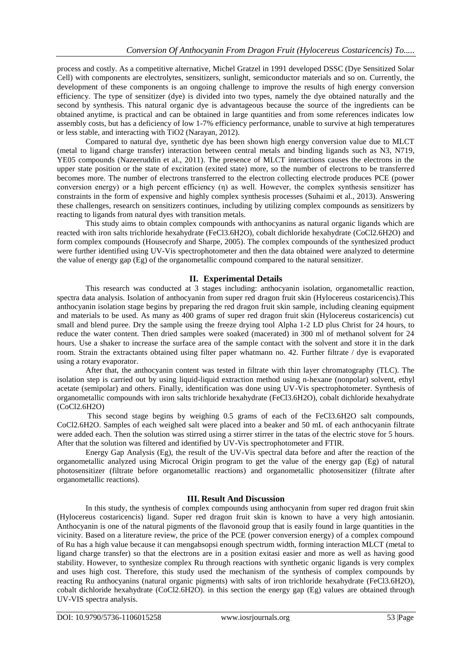process and costly. As a competitive alternative, Michel Gratzel in 1991 developed DSSC (Dye Sensitized Solar Cell) with components are electrolytes, sensitizers, sunlight, semiconductor materials and so on. Currently, the development of these components is an ongoing challenge to improve the results of high energy conversion efficiency. The type of sensitizer (dye) is divided into two types, namely the dye obtained naturally and the second by synthesis. This natural organic dye is advantageous because the source of the ingredients can be obtained anytime, is practical and can be obtained in large quantities and from some references indicates low assembly costs, but has a deficiency of low 1-7% efficiency performance, unable to survive at high temperatures or less stable, and interacting with TiO2 (Narayan, 2012).

Compared to natural dye, synthetic dye has been shown high energy conversion value due to MLCT (metal to ligand charge transfer) interaction between central metals and binding ligands such as N3, N719, YE05 compounds (Nazeeruddin et al., 2011). The presence of MLCT interactions causes the electrons in the upper state position or the state of excitation (exited state) more, so the number of electrons to be transferred becomes more. The number of electrons transferred to the electron collecting electrode produces PCE (power conversion energy) or a high percent efficiency (η) as well. However, the complex synthesis sensitizer has constraints in the form of expensive and highly complex synthesis processes (Suhaimi et al., 2013). Answering these challenges, research on sensitizers continues, including by utilizing complex compounds as sensitizers by reacting to ligands from natural dyes with transition metals.

This study aims to obtain complex compounds with anthocyanins as natural organic ligands which are reacted with iron salts trichloride hexahydrate (FeCl3.6H2O), cobalt dichloride hexahydrate (CoCl2.6H2O) and form complex compounds (Housecrofy and Sharpe, 2005). The complex compounds of the synthesized product were further identified using UV-Vis spectrophotometer and then the data obtained were analyzed to determine the value of energy gap (Eg) of the organometallic compound compared to the natural sensitizer.

### **II. Experimental Details**

This research was conducted at 3 stages including: anthocyanin isolation, organometallic reaction, spectra data analysis. Isolation of anthocyanin from super red dragon fruit skin (Hylocereus costaricencis).This anthocyanin isolation stage begins by preparing the red dragon fruit skin sample, including cleaning equipment and materials to be used. As many as 400 grams of super red dragon fruit skin (Hylocereus costaricencis) cut small and blend puree. Dry the sample using the freeze drying tool Alpha 1-2 LD plus Christ for 24 hours, to reduce the water content. Then dried samples were soaked (macerated) in 300 ml of methanol solvent for 24 hours. Use a shaker to increase the surface area of the sample contact with the solvent and store it in the dark room. Strain the extractants obtained using filter paper whatmann no. 42. Further filtrate / dye is evaporated using a rotary evaporator.

After that, the anthocyanin content was tested in filtrate with thin layer chromatography (TLC). The isolation step is carried out by using liquid-liquid extraction method using n-hexane (nonpolar) solvent, ethyl acetate (semipolar) and others. Finally, identification was done using UV-Vis spectrophotometer. Synthesis of organometallic compounds with iron salts trichloride hexahydrate (FeCl3.6H2O), cobalt dichloride hexahydrate (CoCl2.6H2O)

This second stage begins by weighing 0.5 grams of each of the FeCl3.6H2O salt compounds, CoCl2.6H2O. Samples of each weighed salt were placed into a beaker and 50 mL of each anthocyanin filtrate were added each. Then the solution was stirred using a stirrer stirrer in the tatas of the electric stove for 5 hours. After that the solution was filtered and identified by UV-Vis spectrophotometer and FTIR.

Energy Gap Analysis (Eg), the result of the UV-Vis spectral data before and after the reaction of the organometallic analyzed using Microcal Origin program to get the value of the energy gap (Eg) of natural photosensitizer (filtrate before organometallic reactions) and organometallic photosensitizer (filtrate after organometallic reactions).

### **III. Result And Discussion**

In this study, the synthesis of complex compounds using anthocyanin from super red dragon fruit skin (Hylocereus costaricencis) ligand. Super red dragon fruit skin is known to have a very high antosianin. Anthocyanin is one of the natural pigments of the flavonoid group that is easily found in large quantities in the vicinity. Based on a literature review, the price of the PCE (power conversion energy) of a complex compound of Ru has a high value because it can mengabsopsi enough spectrum width, forming interaction MLCT (metal to ligand charge transfer) so that the electrons are in a position exitasi easier and more as well as having good stability. However, to synthesize complex Ru through reactions with synthetic organic ligands is very complex and uses high cost. Therefore, this study used the mechanism of the synthesis of complex compounds by reacting Ru anthocyanins (natural organic pigments) with salts of iron trichloride hexahydrate (FeCl3.6H2O), cobalt dichloride hexahydrate (CoCl2.6H2O). in this section the energy gap (Eg) values are obtained through UV-VIS spectra analysis.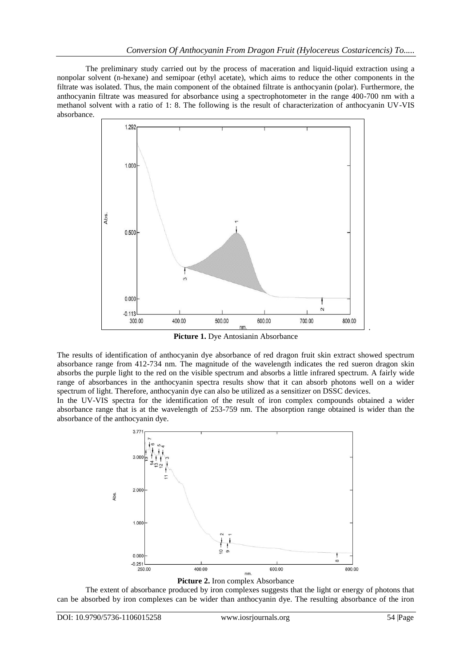The preliminary study carried out by the process of maceration and liquid-liquid extraction using a nonpolar solvent (n-hexane) and semipoar (ethyl acetate), which aims to reduce the other components in the filtrate was isolated. Thus, the main component of the obtained filtrate is anthocyanin (polar). Furthermore, the anthocyanin filtrate was measured for absorbance using a spectrophotometer in the range 400-700 nm with a methanol solvent with a ratio of 1: 8. The following is the result of characterization of anthocyanin UV-VIS absorbance.



**Picture 1.** Dye Antosianin Absorbance

The results of identification of anthocyanin dye absorbance of red dragon fruit skin extract showed spectrum absorbance range from 412-734 nm. The magnitude of the wavelength indicates the red sueron dragon skin absorbs the purple light to the red on the visible spectrum and absorbs a little infrared spectrum. A fairly wide range of absorbances in the anthocyanin spectra results show that it can absorb photons well on a wider spectrum of light. Therefore, anthocyanin dye can also be utilized as a sensitizer on DSSC devices.

In the UV-VIS spectra for the identification of the result of iron complex compounds obtained a wider absorbance range that is at the wavelength of 253-759 nm. The absorption range obtained is wider than the absorbance of the anthocyanin dye.



The extent of absorbance produced by iron complexes suggests that the light or energy of photons that can be absorbed by iron complexes can be wider than anthocyanin dye. The resulting absorbance of the iron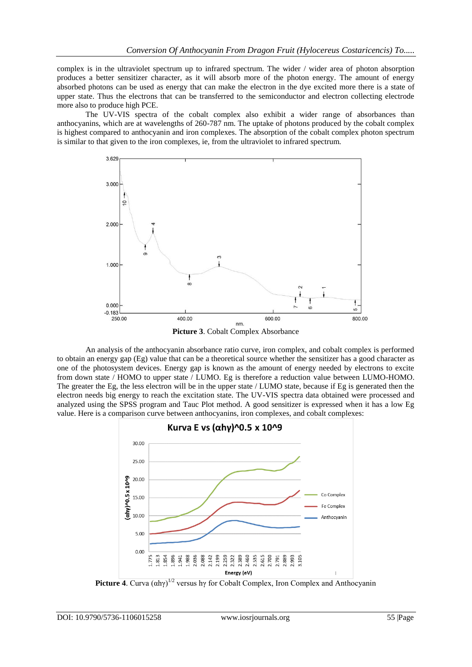complex is in the ultraviolet spectrum up to infrared spectrum. The wider / wider area of photon absorption produces a better sensitizer character, as it will absorb more of the photon energy. The amount of energy absorbed photons can be used as energy that can make the electron in the dye excited more there is a state of upper state. Thus the electrons that can be transferred to the semiconductor and electron collecting electrode more also to produce high PCE.

The UV-VIS spectra of the cobalt complex also exhibit a wider range of absorbances than anthocyanins, which are at wavelengths of 260-787 nm. The uptake of photons produced by the cobalt complex is highest compared to anthocyanin and iron complexes. The absorption of the cobalt complex photon spectrum is similar to that given to the iron complexes, ie, from the ultraviolet to infrared spectrum.



**Picture 3**. Cobalt Complex Absorbance

An analysis of the anthocyanin absorbance ratio curve, iron complex, and cobalt complex is performed to obtain an energy gap (Eg) value that can be a theoretical source whether the sensitizer has a good character as one of the photosystem devices. Energy gap is known as the amount of energy needed by electrons to excite from down state / HOMO to upper state / LUMO. Eg is therefore a reduction value between LUMO-HOMO. The greater the Eg, the less electron will be in the upper state / LUMO state, because if Eg is generated then the electron needs big energy to reach the excitation state. The UV-VIS spectra data obtained were processed and analyzed using the SPSS program and Tauc Plot method. A good sensitizer is expressed when it has a low Eg value. Here is a comparison curve between anthocyanins, iron complexes, and cobalt complexes:



**Picture 4.** Curva  $(\alpha h\gamma)^{1/2}$  versus hy for Cobalt Complex, Iron Complex and Anthocyanin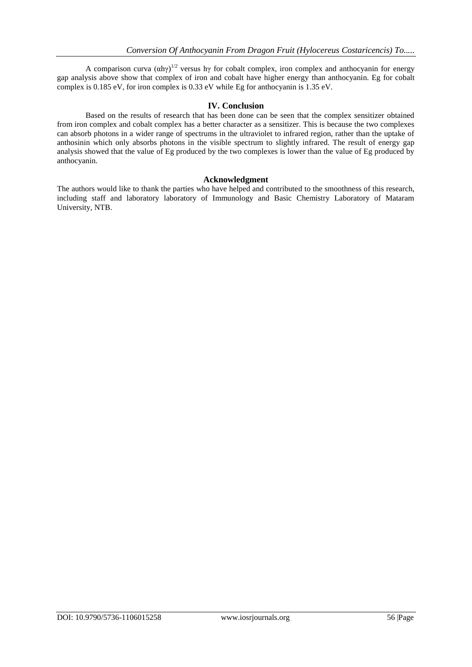A comparison curva  $(\alpha h\gamma)^{1/2}$  versus hy for cobalt complex, iron complex and anthocyanin for energy gap analysis above show that complex of iron and cobalt have higher energy than anthocyanin. Eg for cobalt complex is 0.185 eV, for iron complex is 0.33 eV while Eg for anthocyanin is 1.35 eV.

### **IV. Conclusion**

Based on the results of research that has been done can be seen that the complex sensitizer obtained from iron complex and cobalt complex has a better character as a sensitizer. This is because the two complexes can absorb photons in a wider range of spectrums in the ultraviolet to infrared region, rather than the uptake of anthosinin which only absorbs photons in the visible spectrum to slightly infrared. The result of energy gap analysis showed that the value of Eg produced by the two complexes is lower than the value of Eg produced by anthocyanin.

#### **Acknowledgment**

The authors would like to thank the parties who have helped and contributed to the smoothness of this research, including staff and laboratory laboratory of Immunology and Basic Chemistry Laboratory of Mataram University, NTB.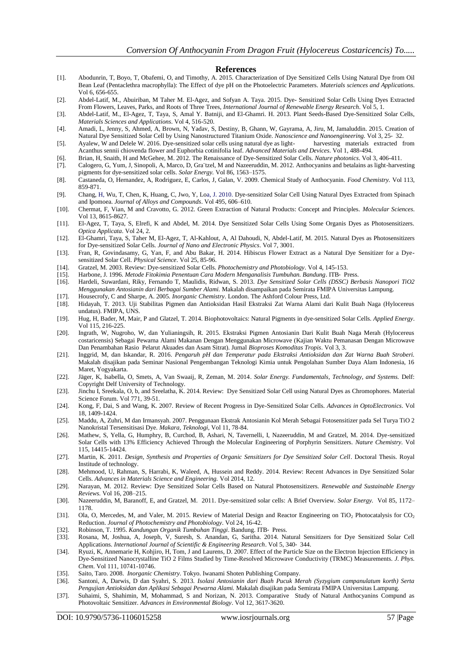#### **References**

- [1]. Abodunrin, T, Boyo, T, Obafemi, O, and Timothy, A. 2015. Characterization of Dye Sensitized Cells Using Natural Dye from Oil Bean Leaf (Pentaclethra macrophylla): The Effect of dye pH on the Photoelectric Parameters. *Materials sciences and Applications*. Vol 6, 656-655.
- [2]. Abdel-Latif, M., Abuiriban, M Taher M. El-Agez, and Sofyan A. Taya. 2015. Dye- Sensitized Solar Cells Using Dyes Extracted From Flowers, Leaves, Parks, and Roots of Three Trees, *International Journal of Renewable Energy Research*. Vol 5, 1.
- [3]. Abdel-Latif, M., El-Agez, T, Taya, S, Amal Y. Batniji, and El-Ghamri. H. 2013. Plant Seeds-Based Dye-Sensitized Solar Cells, *Materials Sciences and Applications*. Vol 4, 516-520.
- [4]. Amadi, L, Jenny, S, Ahmed, A, Brown, N, Yadav, S, Destiny, B, Ghann, W, Gayrama, A, Jiru, M, Jamaluddin. 2015. Creation of Natural Dye Sensitized Solar Cell by Using Nanostructured Titanium Oxide. *Nanoscience and Nanoengineering.* Vol 3, 25‐ 32.
- [5]. Ayalew, W and Delele W. 2016. Dye-sensitized solar cells using natural dye as light- harvesting materials extracted from Acanthus sennii chiovenda flower and Euphorbia cotinifolia leaf. *Advanced Materials and Devices*. Vol 1, 488-494.
- [6]. Brian, H, Snaith, H and McGehee, M. 2012. The Renaissance of Dye-Sensitized Solar Cells. *Nature photonics*. Vol 3, 406-411.
- [7]. Calogero, G, Yum, J, Sinopoli, A, Marco, D, Gra¨tzel, M and Nazeeruddin, M. 2012. Anthocyanins and betalains as light-harvesting pigments for dye-sensitized solar cells. *Solar Energy.* Vol 86, 1563–1575.
- [8]. Castaneda, O, Hernandez, A, Rodriguez, E, Carlos, J, Galan, V. 2009. Chemical Study of Anthocyanin. *Food Chemistry.* Vol 113, 859-871.
- [9]. Chang, H, Wu, T, Chen, K, Huang, C, Jwo, Y, Loa, J. 2010. Dye-sensitized Solar Cell Using Natural Dyes Extracted from Spinach and Ipomoea. *Journal of Alloys and Compounds*. Vol 495, 606–610.
- [10]. Chermat, F, Vian, M and Cravotto, G. 2012. Green Extraction of Natural Products: Concept and Principles. *Molecular Sciences*. Vol 13, 8615-8627.
- [11]. El-Agez, T, Taya, S, Elrefi, K and Abdel, M. 2014. Dye Sensitized Solar Cells Using Some Organis Dyes as Photosensitizers. *Optica Applicata*. Vol 24, 2.
- [12]. El-Ghamri, Taya, S, Taher M, El-Agez, T, Al-Kahlout, A, Al Dahoudi, N, Abdel-Latif, M. 2015. Natural Dyes as Photosensitizers for Dye-sensitized Solar Cells*. Journal of Nano and Electronic Physics*. Vol 7, 3001.
- [13]. Fran, R, Govindasamy, G, Yan, F, and Abu Bakar, H. 2014. Hibiscus Flower Extract as a Natural Dye Sensitizer for a Dyesensitized Solar Cell. *Physical Science*. Vol 25, 85-96.
- [14]. Gratzel, M. 2003. Review: Dye-sensitized Solar Cells. *Photochemistry and Photobiology*. Vol 4, 145-153.
- 
- [15]. Harbone, J. 1996. *Metode Fitokimia Penentuan Cara Modern Menganalisis Tumbuhan. Bandung*. ITB‐ Press. [16]. Hardeli, Suwardani, Riky, Fernando T, Maulidis, Ridwan, S. 2013. *Dye Sensitized Solar Cells (DSSC) Berbasis Nanopori TiO2 Menggunakan Antosianin dari Berbagai Sumber Alami.* Makalah disampaikan pada Semirata FMIPA Universitas Lampung.
- [17]. Housecrofy, C and Sharpe, A. 2005. *Inorganic Chemistry*. London. The Ashford Colour Press, Ltd.
- [18]. Hidayah, T. 2013. Uji Stabilitas Pigmen dan Antioksidan Hasil Ekstraksi Zat Warna Alami dari Kulit Buah Naga (Hylocereus undatus). FMIPA, UNS.
- [19]. Hug, H, Bader, M, Mair, P and Glatzel, T. 2014. Biophotovoltaics: Natural Pigments in dye-sensitized Solar Cells. *Applied Energy*. Vol 115, 216-225.
- [20]. Ingrath, W, Nugroho, W, dan Yulianingsih, R. 2015. Ekstraksi Pigmen Antosianin Dari Kulit Buah Naga Merah (Hylocereus costaricensis) Sebagai Pewarna Alami Makanan Dengan Menggunakan Microwave (Kajian Waktu Pemanasan Dengan Microwave Dan Penambahan Rasio Pelarut Akuades dan Asam Sitrat). Jurnal *Bioproses Komoditas Tropis*. Vol 3, 3.
- [21]. Inggrid, M, dan Iskandar, R. 2016. *Pengaruh pH dan Temperatur pada Ekstraksi Antioksidan dan Zat Warna Buah Stroberi.* Makalah disajikan pada Seminar Nasional Pengembangan Teknologi Kimia untuk Pengolahan Sumber Daya Alam Indonesia, 16 Maret, Yogyakarta.
- [22]. Jäger, K, Isabella, O, Smets, A, Van Swaaij, R, Zeman, M. 2014. *Solar Energy. Fundamentals, Technology, and Systems.* Delf: Copyright Delf University of Technology.
- [23]. Jinchu I, Sreekala, O, b, and Sreelatha, K. 2014. Review: Dye Sensitized Solar Cell using Natural Dyes as Chromophores. Material Science Forum. Vol 771, 39-51.
- [24]. Kong, F, Dai, S and Wang, K. 2007. Review of Recent Progress in Dye-Sensitized Solar Cells. *Advances in OptoElectronics*. Vol 18, 1409-1424.
- [25]. Maddu, A, Zuhri, M dan Irmansyah. 2007. Penggunaan Ekstrak Antosianin Kol Merah Sebagai Fotosensitizer pada Sel Turya TiO 2 Nanokristal Tersensitisasi Dye. *Makara, Teknologi*, Vol 11, 78-84.
- [26]. Mathew, S, Yella, G, Humphry, B, Curchod, B, Ashari, N, Tavernelli, I, Nazeeruddin, M and Gratzel, M. 2014. Dye-sensitized Solar Cells with 13% Efficiency Achieved Through the Molecular Engineering of Porphyrin Sensitizers. *Nature Chemistry.* Vol 115, 14415-14424.
- [27]. Martin, K. 2011. *Design, Synthesis and Properties of Organic Sensitizers for Dye Sensitized Solar Cell*. Doctoral Thesis. Royal Institude of technology.
- [28]. Mehmood, U, Rahman, S, Harrabi, K, Waleed, A, Hussein and Reddy. 2014. Review: Recent Advances in Dye Sensitized Solar Cells. *Advances in Materials Science and Engineering.* Vol 2014, 12.
- [29]. Narayan, M. 2012. Review: Dye Sensitized Solar Cells Based on Natural Photosensitizers. *Renewable and Sustainable Energy Reviews.* Vol 16, 208–215.
- [30]. Nazeeruddin, M, Baranoff, E, and Gratzel, M. 2011. Dye-sensitized solar cells: A Brief Overview. *Solar Energy.* Vol 85, 1172– 1178.
- [31]. Ola, O, Mercedes, M, and Valer, M. 2015. Review of Material Design and Reactor Engineering on TiO<sub>2</sub> Photocatalysis for CO<sub>2</sub> Reduction. *Journal of Photochemistry and Photobiology*. Vol 24, 16-42.
- [32]. Robinson, T. 1995. *Kandungan Organik Tumbuhan Tinggi*. Bandung. ITB‐ Press.
- [33]. Rosana, M, Joshua, A, Joseph, V, Suresh, S. Anandan, G, Saritha. 2014. Natural Sensitizers for Dye Sensitized Solar Cell Applications. *International Journal of Scientific & Engineering Research*. Vol 5, 340‐ 344.
- [34]. Ryuzi, K, Annemarie H, Kohjiro, H, Tom, J and Laurens, D. 2007. Effect of the Particle Size on the Electron Injection Efficiency in Dye-Sensitized Nanocrystalline TiO 2 Films Studied by Time-Resolved Microwave Conductivity (TRMC) Measurements. *J. Phys. Chem*. Vol 111, 10741-10746.
- [35]. Saito, Taro. 2008. *Inorganic Chemistry.* Tokyo. Iwanami Shoten Publishing Company.
- [36]. Santoni, A, Darwis, D dan Syahri, S. 2013. *Isolasi Antosianin dari Buah Pucuk Merah (Syzygium campanulatum korth) Serta Pengujian Antioksidan dan Aplikasi Sebagai Pewarna Alami.* Makalah disajikan pada Semirata FMIPA Universitas Lampung.
- [37]. Suhaimi, S, Shahimin, M, Mohammad, S and Norizan, N. 2013. Comparative Study of Natural Anthocyanins Compund as Photovoltaic Sensitizer. *Advances in Environmental Biology*. Vol 12, 3617-3620.